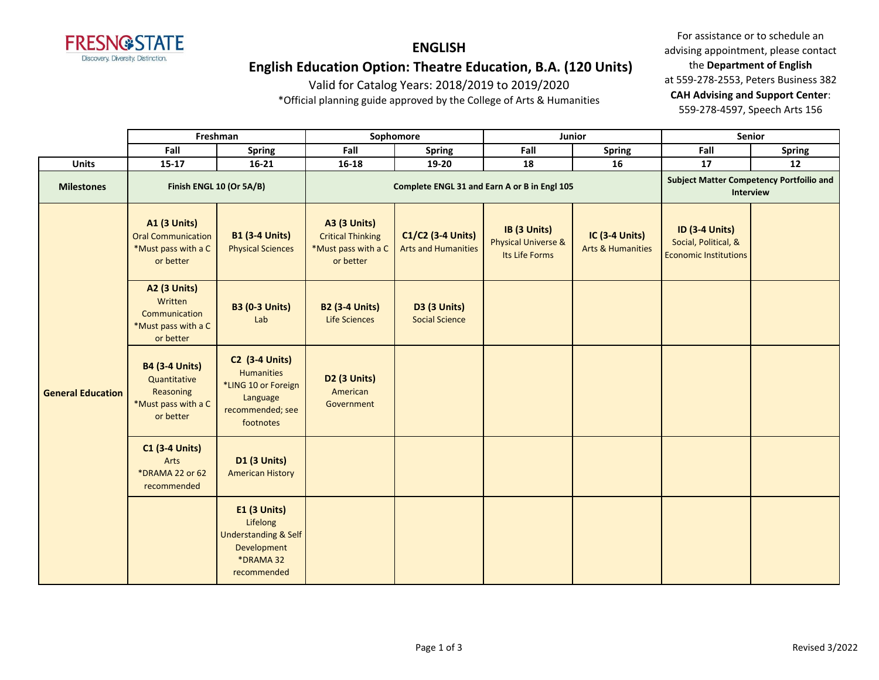

 **English Education Option: Theatre Education, B.A. (120 Units)**

Valid for Catalog Years: 2018/2019 to 2019/2020

\*Official planning guide approved by the College of Arts & Humanities

|                          |                                                                                        | Freshman                                                                                                       | Sophomore                                                                           |                                                 | Junior                                                           |                                                       | Senior                                                                        |               |
|--------------------------|----------------------------------------------------------------------------------------|----------------------------------------------------------------------------------------------------------------|-------------------------------------------------------------------------------------|-------------------------------------------------|------------------------------------------------------------------|-------------------------------------------------------|-------------------------------------------------------------------------------|---------------|
|                          | Fall                                                                                   | <b>Spring</b>                                                                                                  | Fall                                                                                | <b>Spring</b>                                   | Fall                                                             | <b>Spring</b>                                         | Fall                                                                          | <b>Spring</b> |
| <b>Units</b>             | 15-17                                                                                  | $16 - 21$                                                                                                      | $16 - 18$                                                                           | 19-20                                           | 18                                                               | 16                                                    | 17                                                                            | 12            |
| <b>Milestones</b>        | Finish ENGL 10 (Or 5A/B)                                                               |                                                                                                                |                                                                                     | Complete ENGL 31 and Earn A or B in Engl 105    | <b>Subject Matter Competency Portfoilio and</b><br>Interview     |                                                       |                                                                               |               |
|                          | <b>A1 (3 Units)</b><br><b>Oral Communication</b><br>*Must pass with a C<br>or better   | <b>B1 (3-4 Units)</b><br><b>Physical Sciences</b>                                                              | <b>A3 (3 Units)</b><br><b>Critical Thinking</b><br>*Must pass with a C<br>or better | C1/C2 (3-4 Units)<br><b>Arts and Humanities</b> | IB (3 Units)<br><b>Physical Universe &amp;</b><br>Its Life Forms | <b>IC (3-4 Units)</b><br><b>Arts &amp; Humanities</b> | <b>ID (3-4 Units)</b><br>Social, Political, &<br><b>Economic Institutions</b> |               |
|                          | <b>A2 (3 Units)</b><br>Written<br>Communication<br>*Must pass with a C<br>or better    | <b>B3 (0-3 Units)</b><br>Lab                                                                                   | <b>B2 (3-4 Units)</b><br><b>Life Sciences</b>                                       | D3 (3 Units)<br><b>Social Science</b>           |                                                                  |                                                       |                                                                               |               |
| <b>General Education</b> | <b>B4 (3-4 Units)</b><br>Quantitative<br>Reasoning<br>*Must pass with a C<br>or better | <b>C2 (3-4 Units)</b><br><b>Humanities</b><br>*LING 10 or Foreign<br>Language<br>recommended; see<br>footnotes | D <sub>2</sub> (3 Units)<br>American<br>Government                                  |                                                 |                                                                  |                                                       |                                                                               |               |
|                          | <b>C1 (3-4 Units)</b><br>Arts<br>*DRAMA 22 or 62<br>recommended                        | <b>D1 (3 Units)</b><br><b>American History</b>                                                                 |                                                                                     |                                                 |                                                                  |                                                       |                                                                               |               |
|                          |                                                                                        | <b>E1 (3 Units)</b><br>Lifelong<br><b>Understanding &amp; Self</b><br>Development<br>*DRAMA 32<br>recommended  |                                                                                     |                                                 |                                                                  |                                                       |                                                                               |               |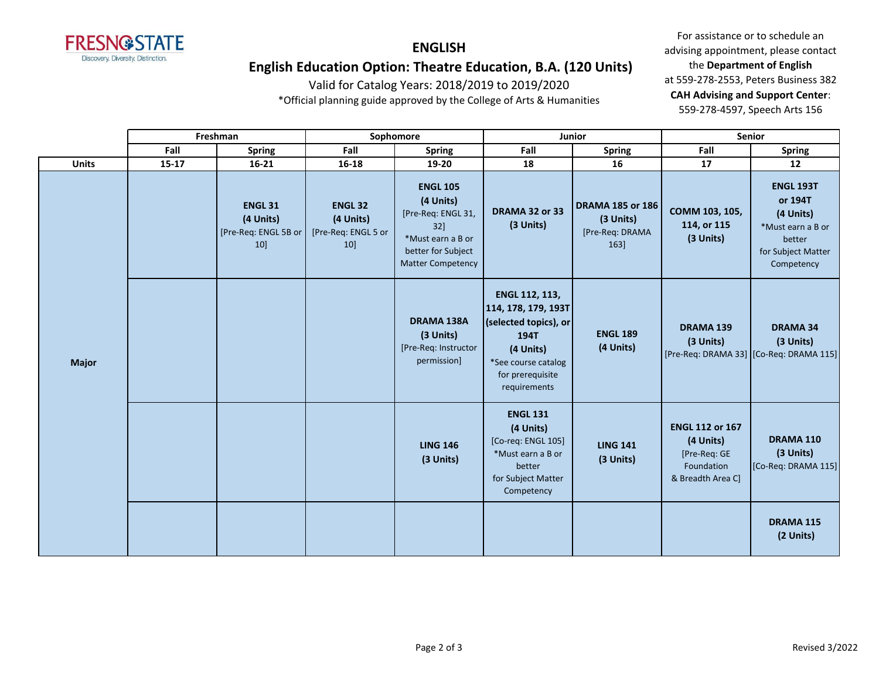

# **English Education Option: Theatre Education, B.A. (120 Units)**

Valid for Catalog Years: 2018/2019 to 2019/2020

\*Official planning guide approved by the College of Arts & Humanities

|              |           | Freshman                                                  |                                                          | Sophomore                                                                                                                        |                                                                                                                                                | <b>Junior</b>                                                   |                                                                                        | <b>Senior</b>                                                                                               |
|--------------|-----------|-----------------------------------------------------------|----------------------------------------------------------|----------------------------------------------------------------------------------------------------------------------------------|------------------------------------------------------------------------------------------------------------------------------------------------|-----------------------------------------------------------------|----------------------------------------------------------------------------------------|-------------------------------------------------------------------------------------------------------------|
|              | Fall      | <b>Spring</b>                                             | Fall                                                     | <b>Spring</b>                                                                                                                    | Fall                                                                                                                                           | <b>Spring</b>                                                   | Fall                                                                                   | <b>Spring</b>                                                                                               |
| <b>Units</b> | $15 - 17$ | $16 - 21$                                                 | 16-18                                                    | 19-20                                                                                                                            | 18                                                                                                                                             | 16                                                              | 17                                                                                     | 12                                                                                                          |
|              |           | <b>ENGL 31</b><br>(4 Units)<br>[Pre-Req: ENGL 5B or<br>10 | <b>ENGL 32</b><br>(4 Units)<br>[Pre-Req: ENGL 5 or<br>10 | <b>ENGL 105</b><br>(4 Units)<br>[Pre-Req: ENGL 31,<br>32]<br>*Must earn a B or<br>better for Subject<br><b>Matter Competency</b> | DRAMA 32 or 33<br>(3 Units)                                                                                                                    | <b>DRAMA 185 or 186</b><br>(3 Units)<br>[Pre-Req: DRAMA<br>163] | COMM 103, 105,<br>114, or 115<br>(3 Units)                                             | <b>ENGL 193T</b><br>or 194T<br>(4 Units)<br>*Must earn a B or<br>better<br>for Subject Matter<br>Competency |
| <b>Major</b> |           |                                                           |                                                          | <b>DRAMA 138A</b><br>(3 Units)<br>[Pre-Req: Instructor<br>permission]                                                            | ENGL 112, 113,<br>114, 178, 179, 193T<br>(selected topics), or<br>194T<br>(4 Units)<br>*See course catalog<br>for prerequisite<br>requirements | <b>ENGL 189</b><br>(4 Units)                                    | DRAMA 139<br>(3 Units)                                                                 | <b>DRAMA 34</b><br>(3 Units)<br>[Pre-Req: DRAMA 33] [Co-Req: DRAMA 115]                                     |
|              |           |                                                           |                                                          | <b>LING 146</b><br>(3 Units)                                                                                                     | <b>ENGL 131</b><br>(4 Units)<br>[Co-req: ENGL 105]<br>*Must earn a B or<br>better<br>for Subject Matter<br>Competency                          | <b>LING 141</b><br>(3 Units)                                    | <b>ENGL 112 or 167</b><br>(4 Units)<br>[Pre-Req: GE<br>Foundation<br>& Breadth Area C] | DRAMA 110<br>(3 Units)<br>[Co-Req: DRAMA 115]                                                               |
|              |           |                                                           |                                                          |                                                                                                                                  |                                                                                                                                                |                                                                 |                                                                                        | <b>DRAMA 115</b><br>(2 Units)                                                                               |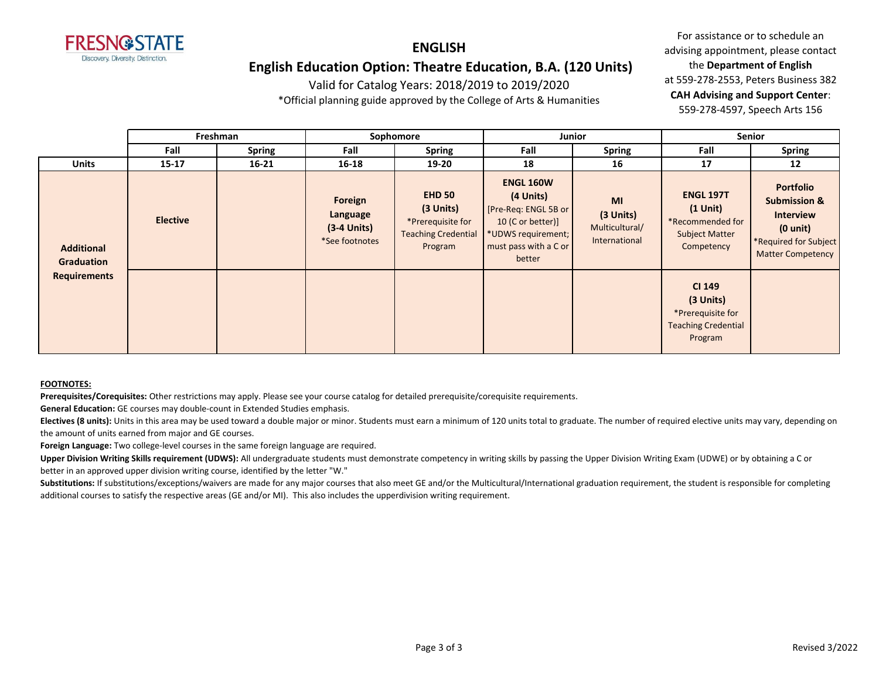

## **ENGLISH English Education Option: Theatre Education, B.A. (120 Units)**

Valid for Catalog Years: 2018/2019 to 2019/2020

\*Official planning guide approved by the College of Arts & Humanities

For assistance or to schedule an advising appointment, please contact the **Department of English** at 559-278-2553, Peters Business 382 **CAH Advising and Support Center**: 559-278-4597, Speech Arts 156

|                                        |                 | Freshman      | Sophomore                                              |                                                                                          | Junior                                                                                                                              |                                                           | Senior                                                                                    |                                                                                                                                     |
|----------------------------------------|-----------------|---------------|--------------------------------------------------------|------------------------------------------------------------------------------------------|-------------------------------------------------------------------------------------------------------------------------------------|-----------------------------------------------------------|-------------------------------------------------------------------------------------------|-------------------------------------------------------------------------------------------------------------------------------------|
|                                        | Fall            | <b>Spring</b> | Fall                                                   | <b>Spring</b>                                                                            | Fall                                                                                                                                | <b>Spring</b>                                             | Fall                                                                                      | <b>Spring</b>                                                                                                                       |
| <b>Units</b>                           | $15 - 17$       | $16 - 21$     | $16 - 18$                                              | 19-20                                                                                    | 18                                                                                                                                  | 16                                                        | 17                                                                                        | 12                                                                                                                                  |
| <b>Additional</b><br><b>Graduation</b> | <b>Elective</b> |               | Foreign<br>Language<br>$(3-4$ Units)<br>*See footnotes | <b>EHD 50</b><br>(3 Units)<br>*Prerequisite for<br><b>Teaching Credential</b><br>Program | <b>ENGL 160W</b><br>(4 Units)<br>[Pre-Req: ENGL 5B or<br>10 (C or better)]<br>*UDWS requirement;<br>must pass with a C or<br>better | <b>MI</b><br>(3 Units)<br>Multicultural/<br>International | <b>ENGL 197T</b><br>$(1$ Unit)<br>*Recommended for<br><b>Subject Matter</b><br>Competency | <b>Portfolio</b><br><b>Submission &amp;</b><br><b>Interview</b><br>$(0 \text{ unit})$<br>*Required for Subject<br>Matter Competency |
| <b>Requirements</b>                    |                 |               |                                                        |                                                                                          |                                                                                                                                     |                                                           | <b>CI 149</b><br>(3 Units)<br>*Prerequisite for<br><b>Teaching Credential</b><br>Program  |                                                                                                                                     |

#### **FOOTNOTES:**

**Prerequisites/Corequisites:** Other restrictions may apply. Please see your course catalog for detailed prerequisite/corequisite requirements.

**General Education:** GE courses may double-count in Extended Studies emphasis.

Electives (8 units): Units in this area may be used toward a double major or minor. Students must earn a minimum of 120 units total to graduate. The number of required elective units may vary, depending on the amount of units earned from major and GE courses.

**Foreign Language:** Two college-level courses in the same foreign language are required.

Upper Division Writing Skills requirement (UDWS): All undergraduate students must demonstrate competency in writing skills by passing the Upper Division Writing Exam (UDWE) or by obtaining a C or better in an approved upper division writing course, identified by the letter "W."

Substitutions: If substitutions/exceptions/waivers are made for any major courses that also meet GE and/or the Multicultural/International graduation requirement, the student is responsible for completing additional courses to satisfy the respective areas (GE and/or MI). This also includes the upperdivision writing requirement.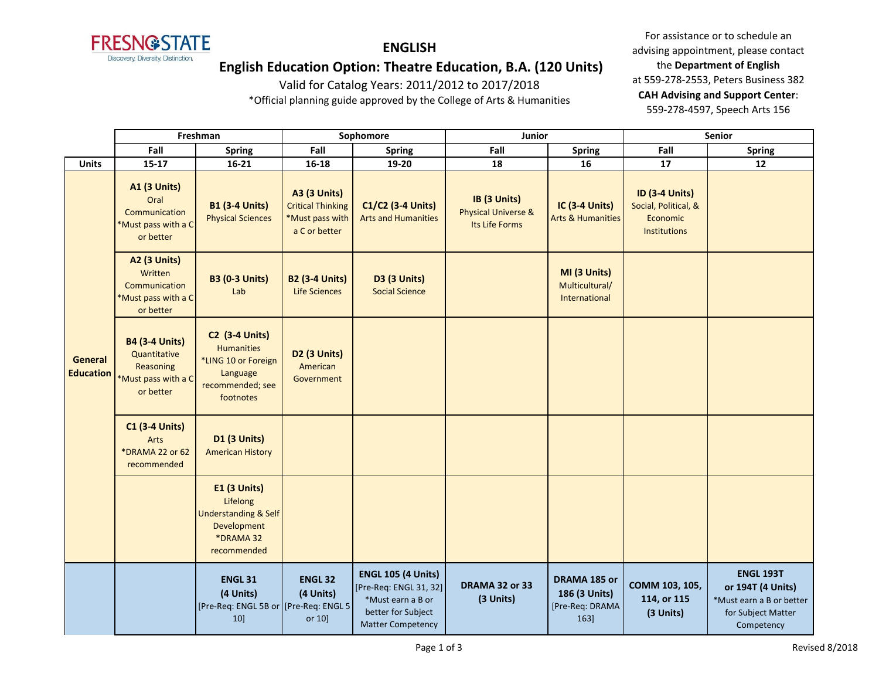

# **English Education Option: Theatre Education, B.A. (120 Units)**

Valid for Catalog Years: 2011/2012 to 2017/2018

\*Official planning guide approved by the College of Arts & Humanities

|                                    | Freshman                                                                               |                                                                                                                | Sophomore                                                                           |                                                                                                                            | Junior                                                           |                                                          | Senior                                                                           |                                                                                                       |  |
|------------------------------------|----------------------------------------------------------------------------------------|----------------------------------------------------------------------------------------------------------------|-------------------------------------------------------------------------------------|----------------------------------------------------------------------------------------------------------------------------|------------------------------------------------------------------|----------------------------------------------------------|----------------------------------------------------------------------------------|-------------------------------------------------------------------------------------------------------|--|
|                                    | Fall                                                                                   | <b>Spring</b>                                                                                                  | Fall                                                                                | <b>Spring</b>                                                                                                              | Fall                                                             | <b>Spring</b>                                            | Fall                                                                             | <b>Spring</b>                                                                                         |  |
| <b>Units</b>                       | $15 - 17$                                                                              | $16 - 21$                                                                                                      | $16 - 18$                                                                           | 19-20                                                                                                                      | 18                                                               | 16                                                       | 17                                                                               | 12                                                                                                    |  |
| <b>General</b><br><b>Education</b> | <b>A1 (3 Units)</b><br>Oral<br>Communication<br>*Must pass with a C<br>or better       | <b>B1 (3-4 Units)</b><br><b>Physical Sciences</b>                                                              | <b>A3 (3 Units)</b><br><b>Critical Thinking</b><br>*Must pass with<br>a C or better | C1/C2 (3-4 Units)<br><b>Arts and Humanities</b>                                                                            | IB (3 Units)<br><b>Physical Universe &amp;</b><br>Its Life Forms | IC (3-4 Units)<br><b>Arts &amp; Humanities</b>           | <b>ID (3-4 Units)</b><br>Social, Political, &<br>Economic<br><b>Institutions</b> |                                                                                                       |  |
|                                    | <b>A2 (3 Units)</b><br>Written<br>Communication<br>*Must pass with a C<br>or better    | <b>B3 (0-3 Units)</b><br>Lab                                                                                   | <b>B2 (3-4 Units)</b><br>Life Sciences                                              | D3 (3 Units)<br><b>Social Science</b>                                                                                      |                                                                  | MI (3 Units)<br>Multicultural/<br>International          |                                                                                  |                                                                                                       |  |
|                                    | <b>B4 (3-4 Units)</b><br>Quantitative<br>Reasoning<br>*Must pass with a C<br>or better | <b>C2 (3-4 Units)</b><br><b>Humanities</b><br>*LING 10 or Foreign<br>Language<br>recommended; see<br>footnotes | D2 (3 Units)<br>American<br>Government                                              |                                                                                                                            |                                                                  |                                                          |                                                                                  |                                                                                                       |  |
|                                    | <b>C1 (3-4 Units)</b><br>Arts<br>*DRAMA 22 or 62<br>recommended                        | <b>D1 (3 Units)</b><br><b>American History</b>                                                                 |                                                                                     |                                                                                                                            |                                                                  |                                                          |                                                                                  |                                                                                                       |  |
|                                    |                                                                                        | E1 (3 Units)<br>Lifelong<br><b>Understanding &amp; Self</b><br>Development<br>*DRAMA 32<br>recommended         |                                                                                     |                                                                                                                            |                                                                  |                                                          |                                                                                  |                                                                                                       |  |
|                                    |                                                                                        | <b>ENGL 31</b><br>(4 Units)<br>[Pre-Req: ENGL 5B or [Pre-Req: ENGL 5]<br>10]                                   | <b>ENGL 32</b><br>(4 Units)<br>or 10]                                               | <b>ENGL 105 (4 Units)</b><br>[Pre-Req: ENGL 31, 32]<br>*Must earn a B or<br>better for Subject<br><b>Matter Competency</b> | DRAMA 32 or 33<br>(3 Units)                                      | DRAMA 185 or<br>186 (3 Units)<br>[Pre-Req: DRAMA<br>163] | COMM 103, 105,<br>114, or 115<br>(3 Units)                                       | <b>ENGL 193T</b><br>or 194T (4 Units)<br>*Must earn a B or better<br>for Subject Matter<br>Competency |  |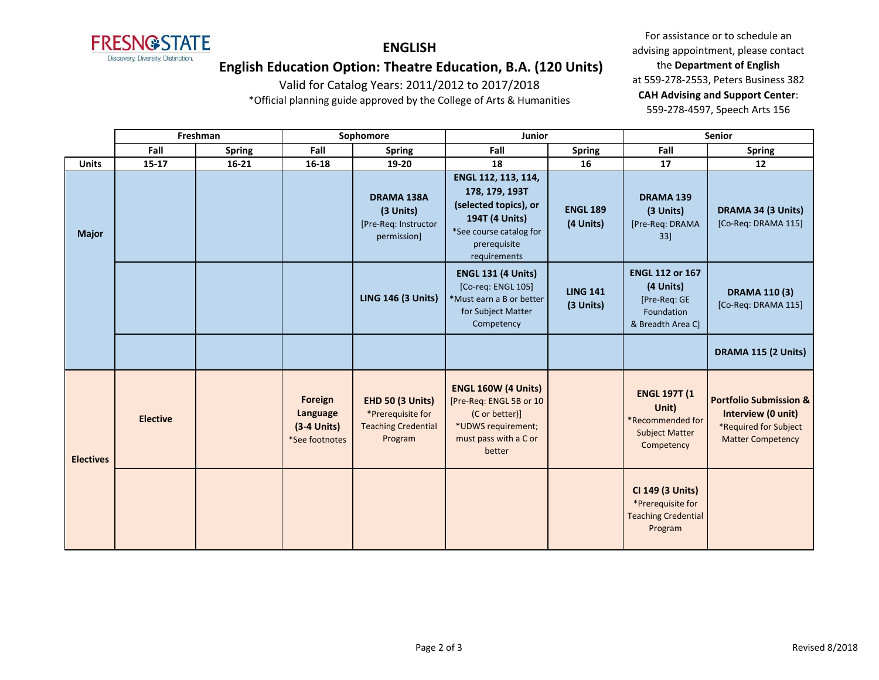

# **English Education Option: Theatre Education, B.A. (120 Units)**

Valid for Catalog Years: 2011/2012 to 2017/2018

\*Official planning guide approved by the College of Arts & Humanities

|                  | Freshman        |               | Sophomore                                              |                                                                                       | Junior                                                                                                                                      |                              | <b>Senior</b>                                                                           |                                                                                                              |
|------------------|-----------------|---------------|--------------------------------------------------------|---------------------------------------------------------------------------------------|---------------------------------------------------------------------------------------------------------------------------------------------|------------------------------|-----------------------------------------------------------------------------------------|--------------------------------------------------------------------------------------------------------------|
|                  | Fall            | <b>Spring</b> | Fall                                                   | <b>Spring</b>                                                                         | Fall                                                                                                                                        | <b>Spring</b>                | Fall                                                                                    | <b>Spring</b>                                                                                                |
| <b>Units</b>     | $15 - 17$       | $16 - 21$     | $16 - 18$                                              | 19-20                                                                                 | 18                                                                                                                                          | 16                           | 17                                                                                      | 12                                                                                                           |
| <b>Major</b>     |                 |               |                                                        | <b>DRAMA 138A</b><br>(3 Units)<br>[Pre-Req: Instructor<br>permission]                 | ENGL 112, 113, 114,<br>178, 179, 193T<br>(selected topics), or<br>194T (4 Units)<br>*See course catalog for<br>prerequisite<br>requirements | <b>ENGL 189</b><br>(4 Units) | <b>DRAMA 139</b><br>(3 Units)<br>[Pre-Req: DRAMA<br>33]                                 | DRAMA 34 (3 Units)<br>[Co-Req: DRAMA 115]                                                                    |
|                  |                 |               |                                                        | <b>LING 146 (3 Units)</b>                                                             | <b>ENGL 131 (4 Units)</b><br>[Co-req: ENGL 105]<br>*Must earn a B or better<br>for Subject Matter<br>Competency                             | <b>LING 141</b><br>(3 Units) | <b>ENGL 112 or 167</b><br>(4 Units)<br>[Pre-Req: GE<br>Foundation<br>& Breadth Area Cl  | <b>DRAMA 110 (3)</b><br>[Co-Req: DRAMA 115]                                                                  |
|                  |                 |               |                                                        |                                                                                       |                                                                                                                                             |                              |                                                                                         | DRAMA 115 (2 Units)                                                                                          |
| <b>Electives</b> | <b>Elective</b> |               | Foreign<br>Language<br>$(3-4$ Units)<br>*See footnotes | <b>EHD 50 (3 Units)</b><br>*Prerequisite for<br><b>Teaching Credential</b><br>Program | ENGL 160W (4 Units)<br>[Pre-Req: ENGL 5B or 10<br>(C or better)]<br>*UDWS requirement;<br>must pass with a C or<br>better                   |                              | <b>ENGL 197T (1</b><br>Unit)<br>*Recommended for<br><b>Subject Matter</b><br>Competency | <b>Portfolio Submission &amp;</b><br>Interview (0 unit)<br>*Required for Subject<br><b>Matter Competency</b> |
|                  |                 |               |                                                        |                                                                                       |                                                                                                                                             |                              | CI 149 (3 Units)<br>*Prerequisite for<br><b>Teaching Credential</b><br>Program          |                                                                                                              |